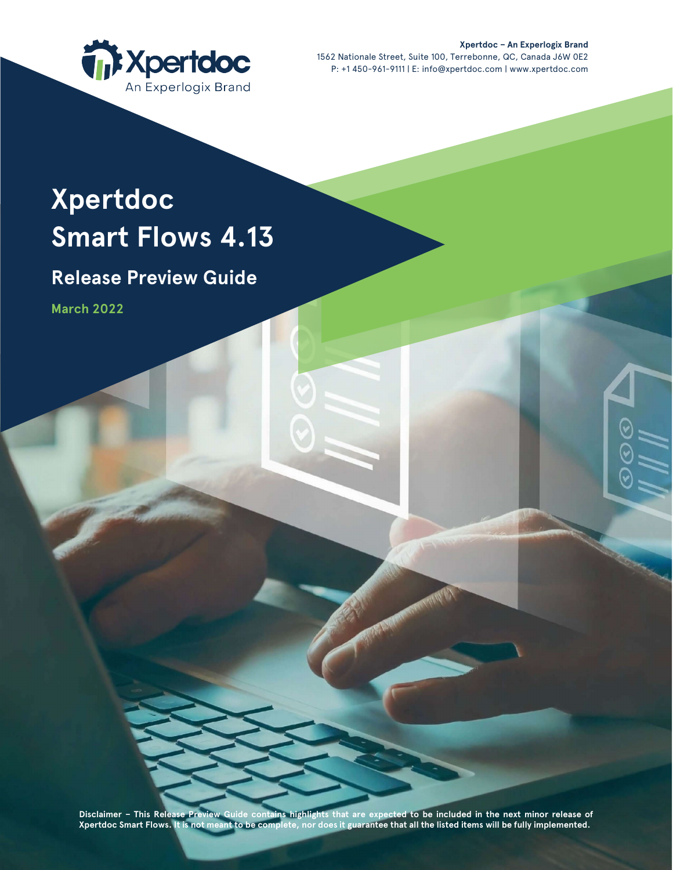

**Xpertdoc – An Experlogix Brand** 1562 Nationale Street, Suite 100, Terrebonne, QC, Canada J6W 0E2 P: +1 450-961-9111 | E: info@xpertdoc.com | www.xpertdoc.com

# **Xpertdoc Smart Flows 4.13**

# **Release Preview Guide**

**March 2022**

**Disclaimer – This Release Preview Guide contains highlights that are expected to be included in the next minor release of Xpertdoc Smart Flows. It is not meant to be complete, nor does it guarantee that all the listed items will be fully implemented.**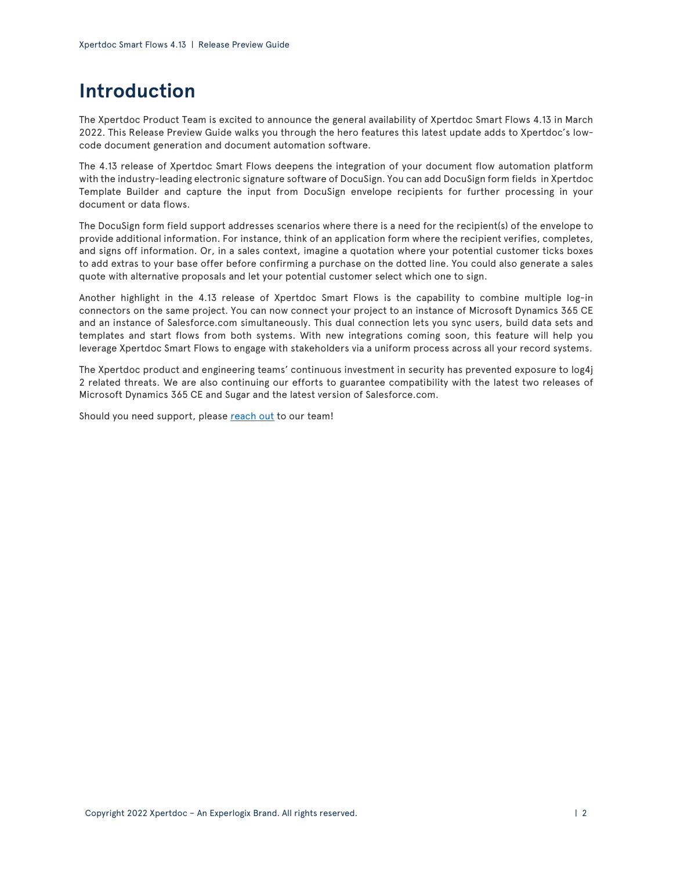# **Introduction**

The Xpertdoc Product Team is excited to announce the general availability of Xpertdoc Smart Flows 4.13 in March 2022. This Release Preview Guide walks you through the hero features this latest update adds to Xpertdoc's lowcode document generation and document automation software.

The 4.13 release of Xpertdoc Smart Flows deepens the integration of your document flow automation platform with the industry-leading electronic signature software of DocuSign. You can add DocuSign form fields in Xpertdoc Template Builder and capture the input from DocuSign envelope recipients for further processing in your document or data flows.

The DocuSign form field support addresses scenarios where there is a need for the recipient(s) of the envelope to provide additional information. For instance, think of an application form where the recipient verifies, completes, and signs off information. Or, in a sales context, imagine a quotation where your potential customer ticks boxes to add extras to your base offer before confirming a purchase on the dotted line. You could also generate a sales quote with alternative proposals and let your potential customer select which one to sign.

Another highlight in the 4.13 release of Xpertdoc Smart Flows is the capability to combine multiple log-in connectors on the same project. You can now connect your project to an instance of Microsoft Dynamics 365 CE and an instance of Salesforce.com simultaneously. This dual connection lets you sync users, build data sets and templates and start flows from both systems. With new integrations coming soon, this feature will help you leverage Xpertdoc Smart Flows to engage with stakeholders via a uniform process across all your record systems.

The Xpertdoc product and engineering teams' continuous investment in security has prevented exposure to log4j 2 related threats. We are also continuing our efforts to guarantee compatibility with the latest two releases of Microsoft Dynamics 365 CE and Sugar and the latest version of Salesforce.com.

Should you need support, please [reach out](https://support.xpertdoc.com/) to our team!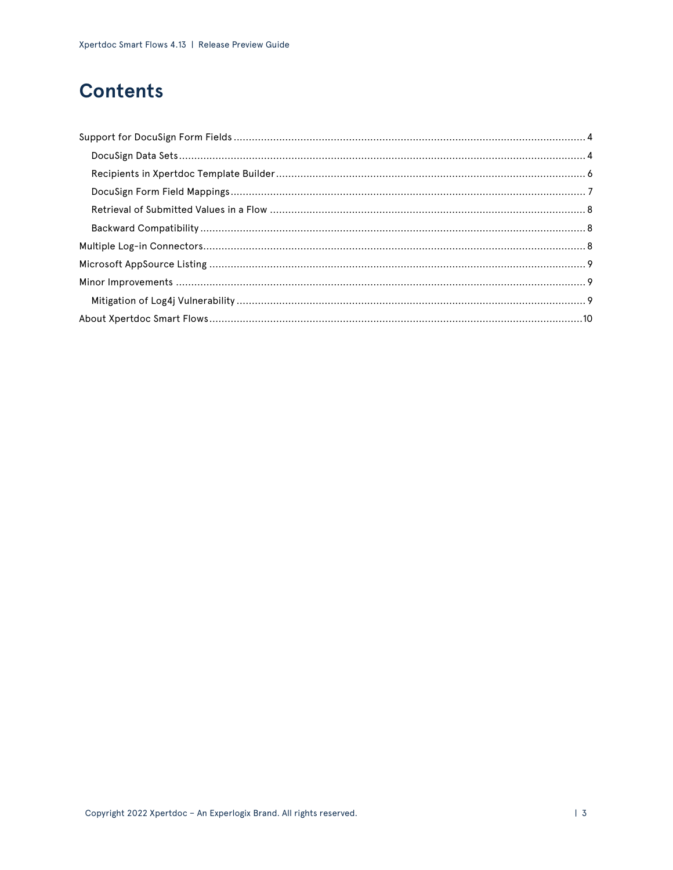# **Contents**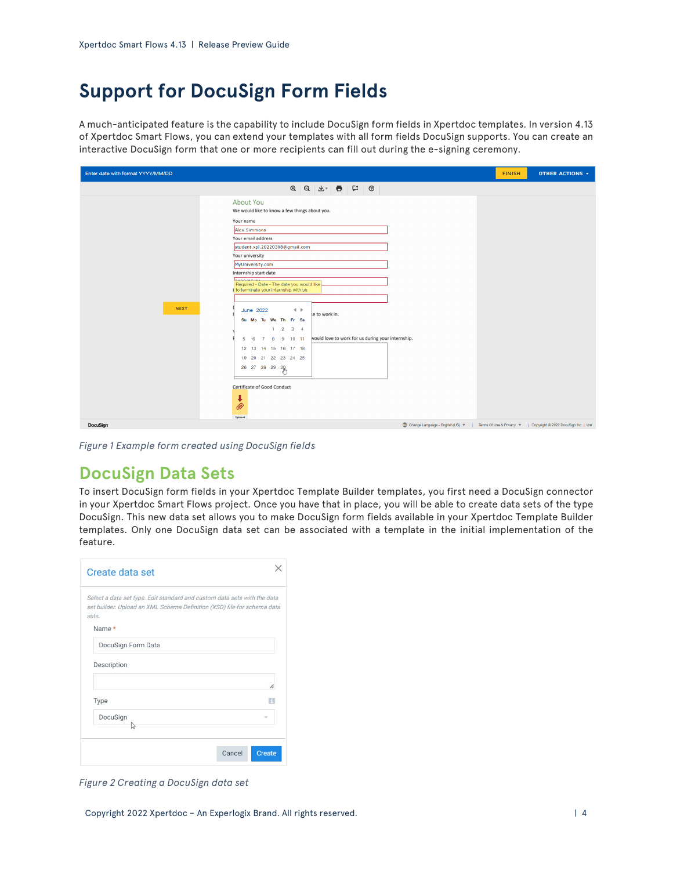# <span id="page-3-0"></span>**Support for DocuSign Form Fields**

A much-anticipated feature is the capability to include DocuSign form fields in Xpertdoc templates. In version 4.13 of Xpertdoc Smart Flows, you can extend your templates with all form fields DocuSign supports. You can create an interactive DocuSign form that one or more recipients can fill out during the e-signing ceremony.

| Enter date with format YYYY/MM/DD                                                                                                                                                                                                                                                                                                                                                                                                                                                                                                                                                                                                                   | <b>FINISH</b> | <b>OTHER ACTIONS T</b> |
|-----------------------------------------------------------------------------------------------------------------------------------------------------------------------------------------------------------------------------------------------------------------------------------------------------------------------------------------------------------------------------------------------------------------------------------------------------------------------------------------------------------------------------------------------------------------------------------------------------------------------------------------------------|---------------|------------------------|
|                                                                                                                                                                                                                                                                                                                                                                                                                                                                                                                                                                                                                                                     |               |                        |
| About You<br>We would like to know a few things about you.<br>Your name<br>Alex Simmons<br>Your email address<br>student.xpl.20220308@gmail.com<br>Your university<br>MyUniversity.com<br>Internship start date<br><b>AAAAIAFIAL</b><br>Required - Date - The date you would like<br>to terminate your internship with us<br><b>NEXT</b><br>$\leftarrow$<br>June 2022<br>te to work in.<br>Su Mo Tu We Th Fr Sa<br>$1 \t2 \t3 \t4$<br>would love to work for us during your internship.<br>7 8 9 10 11<br>$5 \quad 6$<br>12  13  14  15  16  17  18<br>19 20 21 22 23 24 25<br>26 27 28 29 30<br>Certificate of Good Conduct<br>↓<br>Q)<br>Optional |               |                        |
| DocuSign<br>(D) Change Language - English (US) ▼   Terms Of Use & Privacy ▼   Copyright © 2022 DocuSign Inc.   V2R                                                                                                                                                                                                                                                                                                                                                                                                                                                                                                                                  |               |                        |

*Figure 1 Example form created using DocuSign fields*

### <span id="page-3-1"></span>**DocuSign Data Sets**

To insert DocuSign form fields in your Xpertdoc Template Builder templates, you first need a DocuSign connector in your Xpertdoc Smart Flows project. Once you have that in place, you will be able to create data sets of the type DocuSign. This new data set allows you to make DocuSign form fields available in your Xpertdoc Template Builder templates. Only one DocuSign data set can be associated with a template in the initial implementation of the feature.

| Create data set                                                                                                                                              |                         |
|--------------------------------------------------------------------------------------------------------------------------------------------------------------|-------------------------|
| Select a data set type. Edit standard and custom data sets with the data<br>set builder. Upload an XML Schema Definition (XSD) file for schema data<br>sets. |                         |
| Name *                                                                                                                                                       |                         |
| DocuSign Form Data                                                                                                                                           |                         |
| Description                                                                                                                                                  |                         |
|                                                                                                                                                              | h                       |
| Type                                                                                                                                                         | H                       |
| DocuSign<br>Ь÷                                                                                                                                               |                         |
|                                                                                                                                                              | Cancel<br><b>Create</b> |

*Figure 2 Creating a DocuSign data set*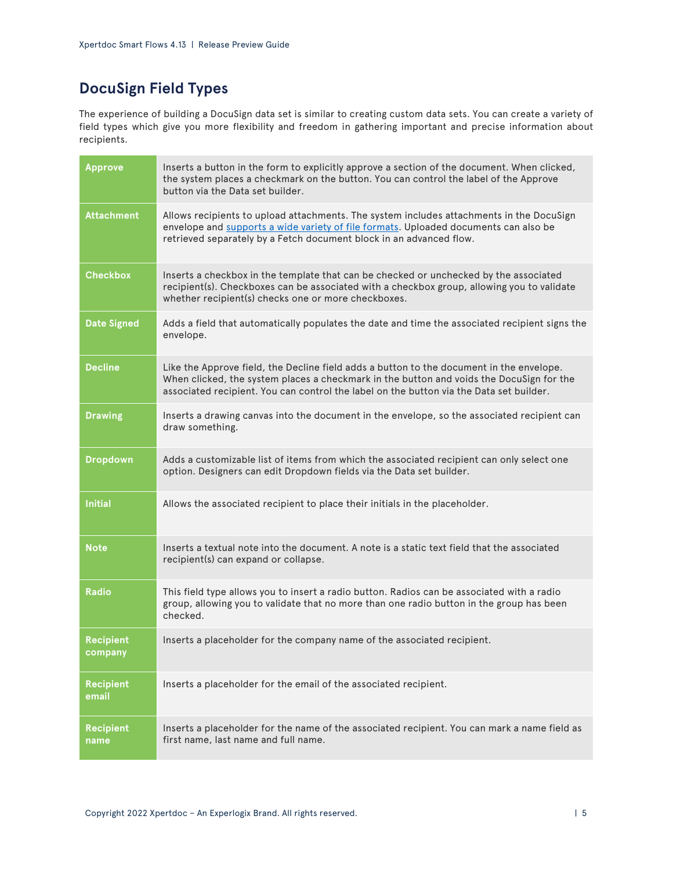### **DocuSign Field Types**

The experience of building a DocuSign data set is similar to creating custom data sets. You can create a variety of field types which give you more flexibility and freedom in gathering important and precise information about recipients.

| <b>Approve</b>              | Inserts a button in the form to explicitly approve a section of the document. When clicked,<br>the system places a checkmark on the button. You can control the label of the Approve<br>button via the Data set builder.                                                        |
|-----------------------------|---------------------------------------------------------------------------------------------------------------------------------------------------------------------------------------------------------------------------------------------------------------------------------|
| <b>Attachment</b>           | Allows recipients to upload attachments. The system includes attachments in the DocuSign<br>envelope and supports a wide variety of file formats. Uploaded documents can also be<br>retrieved separately by a Fetch document block in an advanced flow.                         |
| <b>Checkbox</b>             | Inserts a checkbox in the template that can be checked or unchecked by the associated<br>recipient(s). Checkboxes can be associated with a checkbox group, allowing you to validate<br>whether recipient(s) checks one or more checkboxes.                                      |
| <b>Date Signed</b>          | Adds a field that automatically populates the date and time the associated recipient signs the<br>envelope.                                                                                                                                                                     |
| <b>Decline</b>              | Like the Approve field, the Decline field adds a button to the document in the envelope.<br>When clicked, the system places a checkmark in the button and voids the DocuSign for the<br>associated recipient. You can control the label on the button via the Data set builder. |
| <b>Drawing</b>              | Inserts a drawing canvas into the document in the envelope, so the associated recipient can<br>draw something.                                                                                                                                                                  |
| <b>Dropdown</b>             | Adds a customizable list of items from which the associated recipient can only select one<br>option. Designers can edit Dropdown fields via the Data set builder.                                                                                                               |
| <b>Initial</b>              | Allows the associated recipient to place their initials in the placeholder.                                                                                                                                                                                                     |
| <b>Note</b>                 | Inserts a textual note into the document. A note is a static text field that the associated<br>recipient(s) can expand or collapse.                                                                                                                                             |
| <b>Radio</b>                | This field type allows you to insert a radio button. Radios can be associated with a radio<br>group, allowing you to validate that no more than one radio button in the group has been<br>checked.                                                                              |
| <b>Recipient</b><br>company | Inserts a placeholder for the company name of the associated recipient.                                                                                                                                                                                                         |
| <b>Recipient</b><br>email   | Inserts a placeholder for the email of the associated recipient.                                                                                                                                                                                                                |
| <b>Recipient</b><br>name    | Inserts a placeholder for the name of the associated recipient. You can mark a name field as<br>first name, last name and full name.                                                                                                                                            |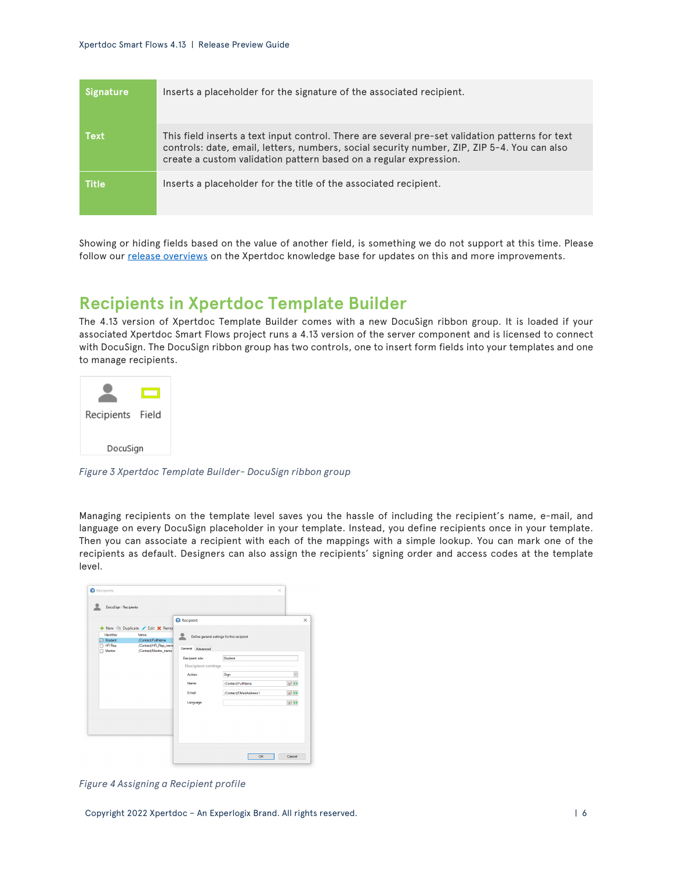| <b>Signature</b> | Inserts a placeholder for the signature of the associated recipient.                                                                                                                                                                                                |
|------------------|---------------------------------------------------------------------------------------------------------------------------------------------------------------------------------------------------------------------------------------------------------------------|
| <b>Text</b>      | This field inserts a text input control. There are several pre-set validation patterns for text<br>controls: date, email, letters, numbers, social security number, ZIP, ZIP 5-4. You can also<br>create a custom validation pattern based on a regular expression. |
| <b>Title</b>     | Inserts a placeholder for the title of the associated recipient.                                                                                                                                                                                                    |

Showing or hiding fields based on the value of another field, is something we do not support at this time. Please follow our [release overviews](https://kb.xpertdoc.com/display/SFGI/Release+Overviews) on the Xpertdoc knowledge base for updates on this and more improvements.

### <span id="page-5-0"></span>**Recipients in Xpertdoc Template Builder**

The 4.13 version of Xpertdoc Template Builder comes with a new DocuSign ribbon group. It is loaded if your associated Xpertdoc Smart Flows project runs a 4.13 version of the server component and is licensed to connect with DocuSign. The DocuSign ribbon group has two controls, one to insert form fields into your templates and one to manage recipients.



*Figure 3 Xpertdoc Template Builder- DocuSign ribbon group*

Managing recipients on the template level saves you the hassle of including the recipient's name, e-mail, and language on every DocuSign placeholder in your template. Instead, you define recipients once in your template. Then you can associate a recipient with each of the mappings with a simple lookup. You can mark one of the recipients as default. Designers can also assign the recipients' signing order and access codes at the template level.



*Figure 4 Assigning a Recipient profile*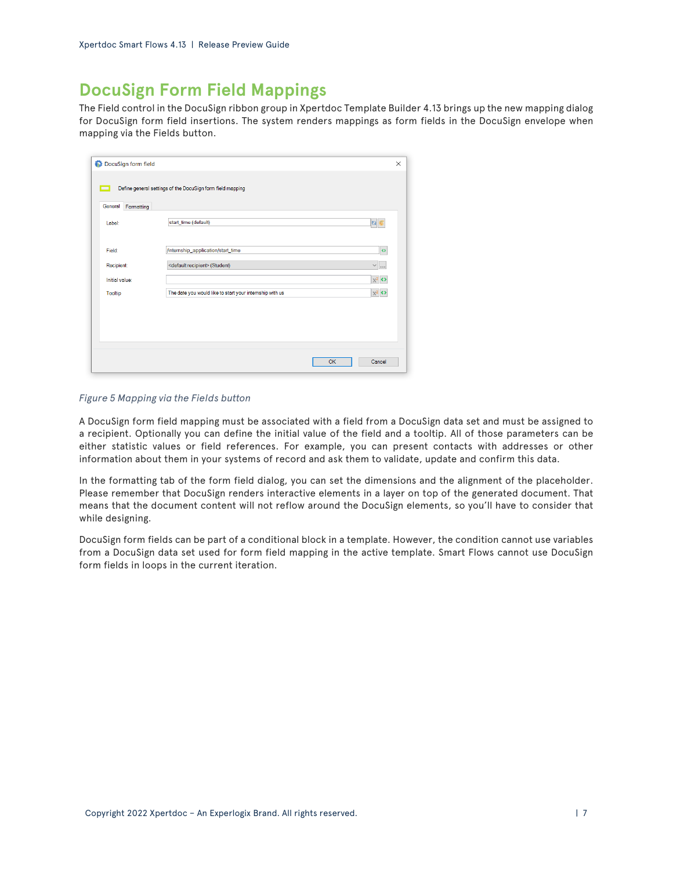### <span id="page-6-0"></span>**DocuSign Form Field Mappings**

The Field control in the DocuSign ribbon group in Xpertdoc Template Builder 4.13 brings up the new mapping dialog for DocuSign form field insertions. The system renders mappings as form fields in the DocuSign envelope when mapping via the Fields button.

| DocuSign form field   |                                                            |           | ×                      |
|-----------------------|------------------------------------------------------------|-----------|------------------------|
| mп                    | Define general settings of the DocuSign form field mapping |           |                        |
| General<br>Formatting |                                                            |           |                        |
| Label:                | start_time (default)                                       |           | col                    |
| Field:                | /internship_application/start_time                         |           | $\bullet$              |
| Recipient:            | <default recipient=""> (Student)</default>                 |           | $\sim$ $\mid$ $\ldots$ |
| Initial value:        |                                                            |           | $x^2$                  |
| <b>Tooltip</b>        | The date you would like to start your internship with us   |           | $x^2$                  |
|                       |                                                            |           |                        |
|                       |                                                            |           |                        |
|                       |                                                            |           |                        |
|                       |                                                            |           |                        |
|                       |                                                            | <b>OK</b> | Cancel                 |
|                       |                                                            |           |                        |

#### *Figure 5 Mapping via the Fields button*

A DocuSign form field mapping must be associated with a field from a DocuSign data set and must be assigned to a recipient. Optionally you can define the initial value of the field and a tooltip. All of those parameters can be either statistic values or field references. For example, you can present contacts with addresses or other information about them in your systems of record and ask them to validate, update and confirm this data.

In the formatting tab of the form field dialog, you can set the dimensions and the alignment of the placeholder. Please remember that DocuSign renders interactive elements in a layer on top of the generated document. That means that the document content will not reflow around the DocuSign elements, so you'll have to consider that while designing.

DocuSign form fields can be part of a conditional block in a template. However, the condition cannot use variables from a DocuSign data set used for form field mapping in the active template. Smart Flows cannot use DocuSign form fields in loops in the current iteration.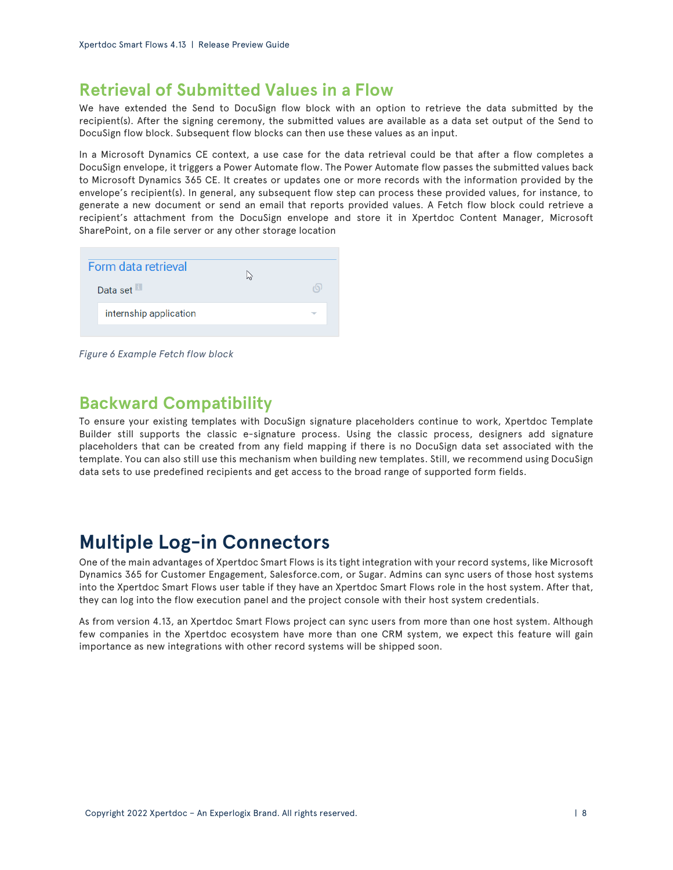### <span id="page-7-0"></span>**Retrieval of Submitted Values in a Flow**

We have extended the Send to DocuSign flow block with an option to retrieve the data submitted by the recipient(s). After the signing ceremony, the submitted values are available as a data set output of the Send to DocuSign flow block. Subsequent flow blocks can then use these values as an input.

In a Microsoft Dynamics CE context, a use case for the data retrieval could be that after a flow completes a DocuSign envelope, it triggers a Power Automate flow. The Power Automate flow passes the submitted values back to Microsoft Dynamics 365 CE. It creates or updates one or more records with the information provided by the envelope's recipient(s). In general, any subsequent flow step can process these provided values, for instance, to generate a new document or send an email that reports provided values. A Fetch flow block could retrieve a recipient's attachment from the DocuSign envelope and store it in Xpertdoc Content Manager, Microsoft SharePoint, on a file server or any other storage location

| Form data retrieval<br>Data set |  |
|---------------------------------|--|
| internship application          |  |
|                                 |  |

*Figure 6 Example Fetch flow block*

### <span id="page-7-1"></span>**Backward Compatibility**

To ensure your existing templates with DocuSign signature placeholders continue to work, Xpertdoc Template Builder still supports the classic e-signature process. Using the classic process, designers add signature placeholders that can be created from any field mapping if there is no DocuSign data set associated with the template. You can also still use this mechanism when building new templates. Still, we recommend using DocuSign data sets to use predefined recipients and get access to the broad range of supported form fields.

## <span id="page-7-2"></span>**Multiple Log-in Connectors**

One of the main advantages of Xpertdoc Smart Flows is its tight integration with your record systems, like Microsoft Dynamics 365 for Customer Engagement, Salesforce.com, or Sugar. Admins can sync users of those host systems into the Xpertdoc Smart Flows user table if they have an Xpertdoc Smart Flows role in the host system. After that, they can log into the flow execution panel and the project console with their host system credentials.

As from version 4.13, an Xpertdoc Smart Flows project can sync users from more than one host system. Although few companies in the Xpertdoc ecosystem have more than one CRM system, we expect this feature will gain importance as new integrations with other record systems will be shipped soon.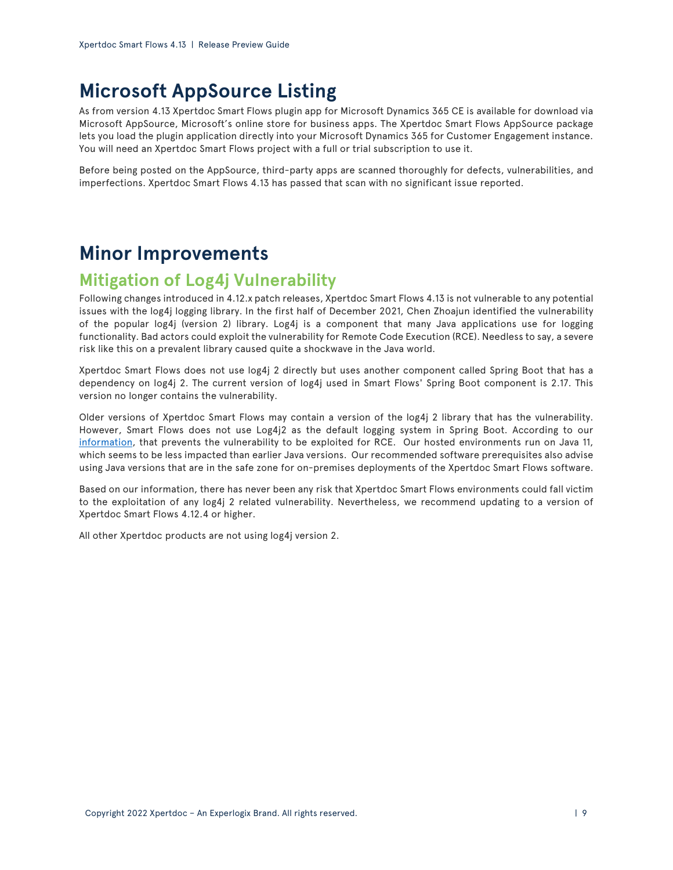# <span id="page-8-0"></span>**Microsoft AppSource Listing**

As from version 4.13 Xpertdoc Smart Flows plugin app for Microsoft Dynamics 365 CE is available for download via Microsoft AppSource, Microsoft's online store for business apps. The Xpertdoc Smart Flows AppSource package lets you load the plugin application directly into your Microsoft Dynamics 365 for Customer Engagement instance. You will need an Xpertdoc Smart Flows project with a full or trial subscription to use it.

Before being posted on the AppSource, third-party apps are scanned thoroughly for defects, vulnerabilities, and imperfections. Xpertdoc Smart Flows 4.13 has passed that scan with no significant issue reported.

# <span id="page-8-1"></span>**Minor Improvements**

### <span id="page-8-2"></span>**Mitigation of Log4j Vulnerability**

Following changes introduced in 4.12.x patch releases, Xpertdoc Smart Flows 4.13 is not vulnerable to any potential issues with the log4j logging library. In the first half of December 2021, Chen Zhoajun identified the vulnerability of the popular log4j (version 2) library. Log4j is a component that many Java applications use for logging functionality. Bad actors could exploit the vulnerability for Remote Code Execution (RCE). Needless to say, a severe risk like this on a prevalent library caused quite a shockwave in the Java world.

Xpertdoc Smart Flows does not use log4j 2 directly but uses another component called Spring Boot that has a dependency on log4j 2. The current version of log4j used in Smart Flows' Spring Boot component is 2.17. This version no longer contains the vulnerability.

Older versions of Xpertdoc Smart Flows may contain a version of the log4j 2 library that has the vulnerability. However, Smart Flows does not use Log4j2 as the default logging system in Spring Boot. According to our [information,](https://spring.io/blog/2021/12/10/log4j2-vulnerability-and-spring-boot) that prevents the vulnerability to be exploited for RCE. Our hosted environments run on Java 11, which seems to be less impacted than earlier Java versions. Our recommended software prerequisites also advise using Java versions that are in the safe zone for on-premises deployments of the Xpertdoc Smart Flows software.

Based on our information, there has never been any risk that Xpertdoc Smart Flows environments could fall victim to the exploitation of any log4j 2 related vulnerability. Nevertheless, we recommend updating to a version of Xpertdoc Smart Flows 4.12.4 or higher.

All other Xpertdoc products are not using log4j version 2.